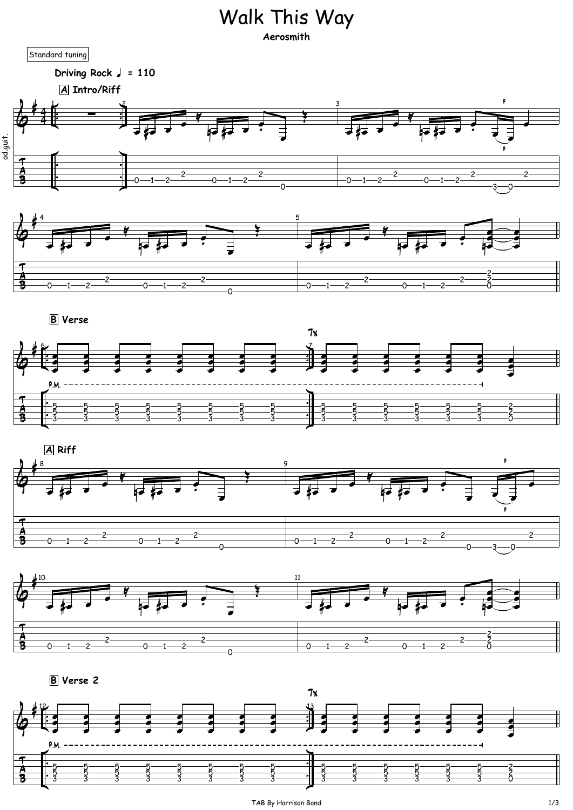## Walk This Way

**Aerosmith**

















**B Verse 2**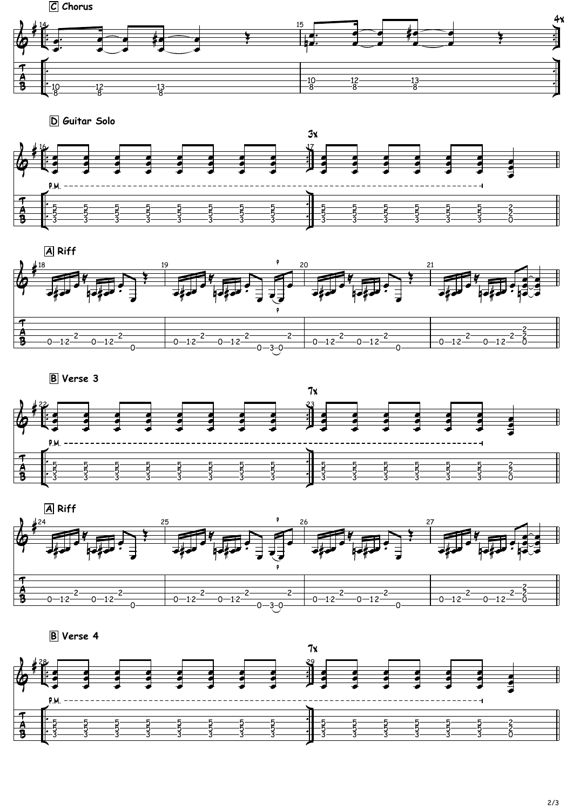











**B Verse 3**





**B Verse 4**